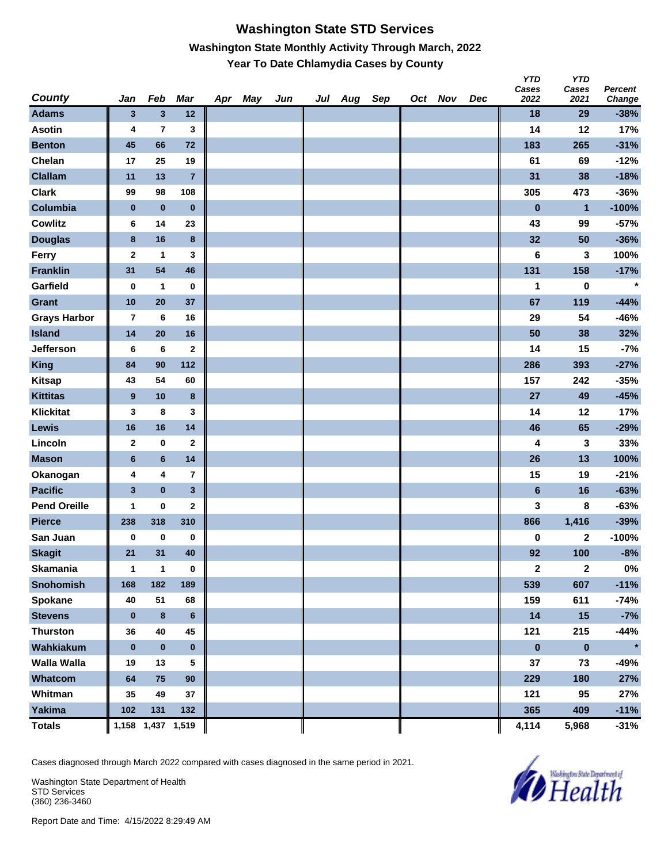### **Washington State STD Services Washington State Monthly Activity Through March, 2022 Year To Date Chlamydia Cases by County**

| <b>County</b>       | Jan                     | Feb                     | Mar               | Apr | May | Jun | Jul | Aug | Sep | Oct Nov | Dec | טוז<br>Cases<br>2022 | טוז<br>Cases<br>2021 | <b>Percent</b>   |
|---------------------|-------------------------|-------------------------|-------------------|-----|-----|-----|-----|-----|-----|---------|-----|----------------------|----------------------|------------------|
| <b>Adams</b>        | 3                       | $\mathbf{3}$            | 12                |     |     |     |     |     |     |         |     | 18                   | 29                   | Change<br>$-38%$ |
| <b>Asotin</b>       | 4                       | $\overline{\mathbf{r}}$ | 3                 |     |     |     |     |     |     |         |     | 14                   | 12                   | 17%              |
| <b>Benton</b>       | 45                      | 66                      | 72                |     |     |     |     |     |     |         |     | 183                  | 265                  | $-31%$           |
| Chelan              | 17                      | 25                      | 19                |     |     |     |     |     |     |         |     | 61                   | 69                   | $-12%$           |
| <b>Clallam</b>      | 11                      | 13                      | $\overline{7}$    |     |     |     |     |     |     |         |     | 31                   | 38                   | $-18%$           |
| <b>Clark</b>        | 99                      | 98                      | 108               |     |     |     |     |     |     |         |     | 305                  | 473                  | $-36%$           |
| Columbia            | $\bf{0}$                | $\pmb{0}$               | $\bf{0}$          |     |     |     |     |     |     |         |     | $\bf{0}$             | $\mathbf{1}$         | $-100%$          |
| <b>Cowlitz</b>      | 6                       | 14                      | 23                |     |     |     |     |     |     |         |     | 43                   | 99                   | $-57%$           |
| <b>Douglas</b>      | $\bf8$                  | 16                      | 8                 |     |     |     |     |     |     |         |     | 32                   | 50                   | $-36%$           |
| Ferry               | $\mathbf 2$             | $\mathbf 1$             | 3                 |     |     |     |     |     |     |         |     | 6                    | 3                    | 100%             |
| <b>Franklin</b>     | 31                      | 54                      | 46                |     |     |     |     |     |     |         |     | 131                  | 158                  | $-17%$           |
| Garfield            | $\bf{0}$                | 1                       | 0                 |     |     |     |     |     |     |         |     | 1                    | 0                    | $\star$          |
| Grant               | 10                      | 20                      | 37                |     |     |     |     |     |     |         |     | 67                   | 119                  | $-44%$           |
| <b>Grays Harbor</b> | $\overline{7}$          | 6                       | 16                |     |     |     |     |     |     |         |     | 29                   | 54                   | $-46%$           |
| <b>Island</b>       | 14                      | 20                      | 16                |     |     |     |     |     |     |         |     | 50                   | 38                   | 32%              |
| Jefferson           | 6                       | 6                       | $\mathbf{2}$      |     |     |     |     |     |     |         |     | 14                   | 15                   | $-7%$            |
| <b>King</b>         | 84                      | 90                      | 112               |     |     |     |     |     |     |         |     | 286                  | 393                  | $-27%$           |
| <b>Kitsap</b>       | 43                      | 54                      | 60                |     |     |     |     |     |     |         |     | 157                  | 242                  | -35%             |
| <b>Kittitas</b>     | $\boldsymbol{9}$        | 10                      | 8                 |     |     |     |     |     |     |         |     | 27                   | 49                   | $-45%$           |
| <b>Klickitat</b>    | 3                       | 8                       | 3                 |     |     |     |     |     |     |         |     | 14                   | 12                   | 17%              |
| Lewis               | 16                      | 16                      | 14                |     |     |     |     |     |     |         |     | 46                   | 65                   | $-29%$           |
| Lincoln             | $\mathbf{2}$            | $\pmb{0}$               | $\mathbf{2}$      |     |     |     |     |     |     |         |     | 4                    | 3                    | 33%              |
| <b>Mason</b>        | $6\phantom{1}6$         | $\bf 6$                 | 14                |     |     |     |     |     |     |         |     | 26                   | 13                   | 100%             |
| Okanogan            | 4                       | 4                       | 7                 |     |     |     |     |     |     |         |     | 15                   | 19                   | $-21%$           |
| <b>Pacific</b>      | $\overline{\mathbf{3}}$ | $\bf{0}$                | $\mathbf{3}$      |     |     |     |     |     |     |         |     | $6\phantom{1}$       | 16                   | $-63%$           |
| <b>Pend Oreille</b> | $\mathbf 1$             | $\pmb{0}$               | $\mathbf{2}$      |     |     |     |     |     |     |         |     | 3                    | 8                    | $-63%$           |
| <b>Pierce</b>       | 238                     | 318                     | 310               |     |     |     |     |     |     |         |     | 866                  | 1,416                | $-39%$           |
| San Juan            | 0                       | $\pmb{0}$               | $\bf{0}$          |     |     |     |     |     |     |         |     | 0                    | 2                    | $-100%$          |
| <b>Skagit</b>       | 21                      | 31                      | 40                |     |     |     |     |     |     |         |     | 92                   | 100                  | $-8%$            |
| Skamania            | 1                       | $\overline{\mathbf{1}}$ | $\pmb{0}$         |     |     |     |     |     |     |         |     | $\boldsymbol{2}$     | $\mathbf{2}$         | $0\%$            |
| <b>Snohomish</b>    | 168                     | 182                     | 189               |     |     |     |     |     |     |         |     | 539                  | 607                  | $-11%$           |
| Spokane             | 40                      | 51                      | 68                |     |     |     |     |     |     |         |     | 159                  | 611                  | $-74%$           |
| <b>Stevens</b>      | $\bf{0}$                | $\bf 8$                 | 6                 |     |     |     |     |     |     |         |     | 14                   | 15                   | $-7%$            |
| <b>Thurston</b>     | 36                      | 40                      | 45                |     |     |     |     |     |     |         |     | 121                  | 215                  | $-44%$           |
| Wahkiakum           | $\bf{0}$                | $\pmb{0}$               | $\mathbf 0$       |     |     |     |     |     |     |         |     | $\pmb{0}$            | $\pmb{0}$            | $\star$          |
| <b>Walla Walla</b>  | 19                      | 13                      | 5                 |     |     |     |     |     |     |         |     | 37                   | 73                   | -49%             |
| Whatcom             | 64                      | 75                      | 90                |     |     |     |     |     |     |         |     | 229                  | 180                  | 27%              |
| Whitman             | 35                      | 49                      | 37                |     |     |     |     |     |     |         |     | 121                  | 95                   | 27%              |
| Yakima              | 102                     | 131                     | 132               |     |     |     |     |     |     |         |     | 365                  | 409                  | $-11%$           |
| <b>Totals</b>       |                         |                         | 1,158 1,437 1,519 |     |     |     |     |     |     |         |     | 4,114                | 5,968                | $-31%$           |

Cases diagnosed through March 2022 compared with cases diagnosed in the same period in 2021.

Washington State Department of Health STD Services (360) 236-3460



*Y* 

*YTD*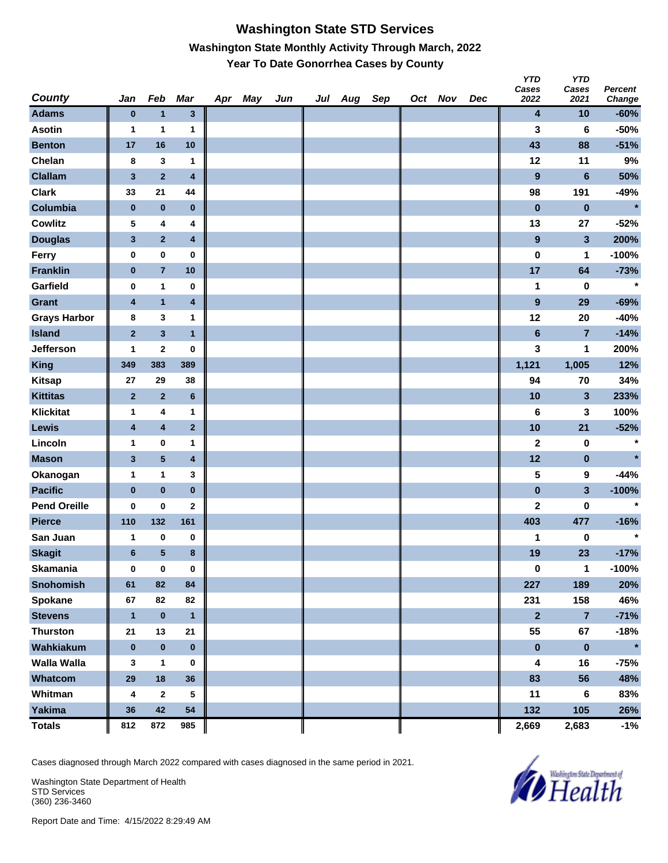## **Washington State STD Services Washington State Monthly Activity Through March, 2022 Year To Date Gonorrhea Cases by County**

| County              | Jan                     | Feb                     | <b>Mar</b>              | Apr May | Jun | Jul Aug Sep |  | Oct Nov | Dec | <b>YTD</b><br>Cases<br>2022 | <b>YTD</b><br>Cases<br>2021 | <b>Percent</b><br>Change |
|---------------------|-------------------------|-------------------------|-------------------------|---------|-----|-------------|--|---------|-----|-----------------------------|-----------------------------|--------------------------|
| <b>Adams</b>        | $\bf{0}$                | $\mathbf{1}$            | $\mathbf{3}$            |         |     |             |  |         |     | 4                           | 10                          | $-60%$                   |
| <b>Asotin</b>       | 1                       | 1                       | 1                       |         |     |             |  |         |     | 3                           | 6                           | $-50%$                   |
| <b>Benton</b>       | 17                      | 16                      | 10                      |         |     |             |  |         |     | 43                          | 88                          | $-51%$                   |
| Chelan              | 8                       | 3                       | 1                       |         |     |             |  |         |     | 12                          | 11                          | 9%                       |
| <b>Clallam</b>      | $\mathbf 3$             | $\mathbf 2$             | $\pmb{4}$               |         |     |             |  |         |     | $\boldsymbol{9}$            | $6\phantom{a}$              | 50%                      |
| <b>Clark</b>        | 33                      | 21                      | 44                      |         |     |             |  |         |     | 98                          | 191                         | $-49%$                   |
| Columbia            | $\pmb{0}$               | $\pmb{0}$               | $\pmb{0}$               |         |     |             |  |         |     | $\bf{0}$                    | $\bf{0}$                    | $\star$                  |
| <b>Cowlitz</b>      | 5                       | 4                       | 4                       |         |     |             |  |         |     | 13                          | 27                          | $-52%$                   |
| <b>Douglas</b>      | $\mathbf{3}$            | $\mathbf 2$             | $\overline{\mathbf{4}}$ |         |     |             |  |         |     | $\overline{\mathbf{9}}$     | 3                           | 200%                     |
| Ferry               | $\pmb{0}$               | $\pmb{0}$               | $\pmb{0}$               |         |     |             |  |         |     | 0                           | 1                           | $-100%$                  |
| <b>Franklin</b>     | $\bf{0}$                | $\overline{\mathbf{7}}$ | 10                      |         |     |             |  |         |     | 17                          | 64                          | $-73%$                   |
| Garfield            | 0                       | $\mathbf{1}$            | 0                       |         |     |             |  |         |     | 1                           | 0                           | $\star$                  |
| <b>Grant</b>        | $\overline{\mathbf{4}}$ | $\mathbf{1}$            | $\pmb{4}$               |         |     |             |  |         |     | $\boldsymbol{9}$            | 29                          | $-69%$                   |
| <b>Grays Harbor</b> | 8                       | 3                       | 1                       |         |     |             |  |         |     | 12                          | 20                          | $-40%$                   |
| <b>Island</b>       | $\bf{2}$                | $\overline{\mathbf{3}}$ | $\mathbf{1}$            |         |     |             |  |         |     | $6\phantom{a}$              | $\overline{7}$              | $-14%$                   |
| Jefferson           | 1                       | 2                       | 0                       |         |     |             |  |         |     | 3                           | 1                           | 200%                     |
| <b>King</b>         | 349                     | 383                     | 389                     |         |     |             |  |         |     | 1,121                       | 1,005                       | 12%                      |
| <b>Kitsap</b>       | 27                      | 29                      | 38                      |         |     |             |  |         |     | 94                          | 70                          | 34%                      |
| <b>Kittitas</b>     | $\bf{2}$                | $\overline{2}$          | $\bf 6$                 |         |     |             |  |         |     | 10                          | 3                           | 233%                     |
| <b>Klickitat</b>    | 1                       | 4                       | 1                       |         |     |             |  |         |     | 6                           | 3                           | 100%                     |
| Lewis               | 4                       | $\overline{\mathbf{4}}$ | $\overline{\mathbf{2}}$ |         |     |             |  |         |     | 10                          | 21                          | $-52%$                   |
| Lincoln             | 1                       | 0                       | 1                       |         |     |             |  |         |     | $\mathbf 2$                 | 0                           | $\star$                  |
| <b>Mason</b>        | $\mathbf{3}$            | $\overline{\mathbf{5}}$ | $\pmb{4}$               |         |     |             |  |         |     | 12                          | $\pmb{0}$                   | $\star$                  |
| Okanogan            | 1                       | $\mathbf{1}$            | 3                       |         |     |             |  |         |     | 5                           | 9                           | $-44%$                   |
| <b>Pacific</b>      | $\pmb{0}$               | $\pmb{0}$               | $\pmb{0}$               |         |     |             |  |         |     | $\bf{0}$                    | 3                           | $-100%$                  |
| <b>Pend Oreille</b> | 0                       | 0                       | $\mathbf{2}$            |         |     |             |  |         |     | $\mathbf 2$                 | 0                           | $\star$                  |
| <b>Pierce</b>       | 110                     | 132                     | 161                     |         |     |             |  |         |     | 403                         | 477                         | $-16%$                   |
| San Juan            | 1                       | 0                       | 0                       |         |     |             |  |         |     | 1                           | 0                           | $\star$                  |
| <b>Skagit</b>       | $\bf 6$                 | 5                       | $\bf8$                  |         |     |             |  |         |     | 19                          | 23                          | $-17%$                   |
| <b>Skamania</b>     | $\bf{0}$                | $\pmb{0}$               | $\bf{0}$                |         |     |             |  |         |     | 0                           | $\mathbf{1}$                | $-100%$                  |
| Snohomish           | 61                      | 82                      | 84                      |         |     |             |  |         |     | 227                         | 189                         | 20%                      |
| Spokane             | 67                      | 82                      | 82                      |         |     |             |  |         |     | 231                         | 158                         | 46%                      |
| <b>Stevens</b>      | $\mathbf{1}$            | $\pmb{0}$               | $\mathbf{1}$            |         |     |             |  |         |     | $\mathbf{2}$                | $\overline{\mathbf{7}}$     | $-71%$                   |
| <b>Thurston</b>     | 21                      | 13                      | 21                      |         |     |             |  |         |     | 55                          | 67                          | $-18%$                   |
| Wahkiakum           | $\pmb{0}$               | $\pmb{0}$               | $\pmb{0}$               |         |     |             |  |         |     | $\pmb{0}$                   | $\pmb{0}$                   | $\star$                  |
| <b>Walla Walla</b>  | 3                       | $\mathbf{1}$            | 0                       |         |     |             |  |         |     | 4                           | 16                          | $-75%$                   |
| Whatcom             | 29                      | 18                      | 36                      |         |     |             |  |         |     | 83                          | 56                          | 48%                      |
| Whitman             | 4                       | $\mathbf{2}$            | 5                       |         |     |             |  |         |     | 11                          | 6                           | 83%                      |
| <b>Yakima</b>       | 36                      | 42                      | 54                      |         |     |             |  |         |     | 132                         | 105                         | 26%                      |
| <b>Totals</b>       | 812                     | 872                     | 985                     |         |     |             |  |         |     | 2,669                       | 2,683                       | $-1%$                    |

Cases diagnosed through March 2022 compared with cases diagnosed in the same period in 2021.

Washington State Department of Health STD Services (360) 236-3460

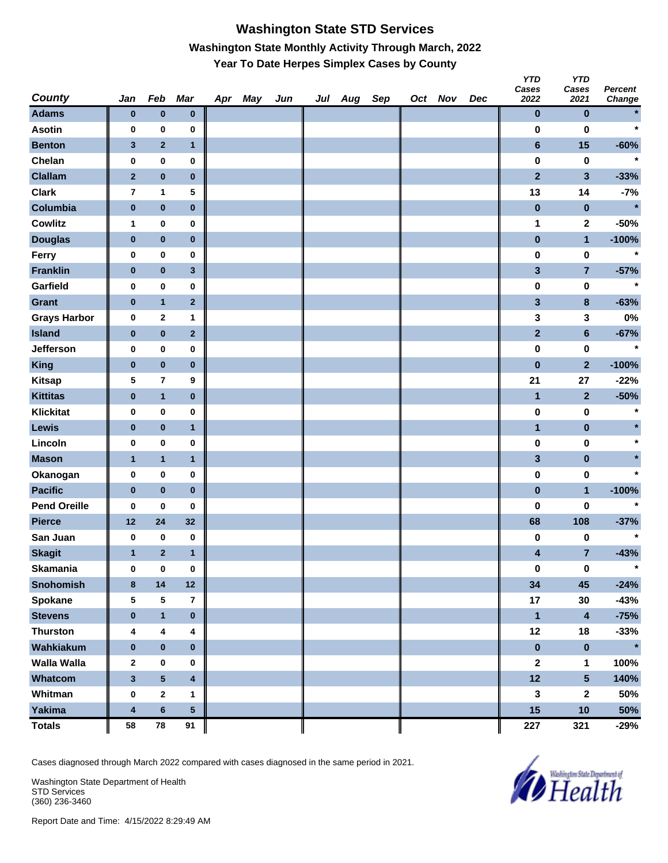# **Washington State STD Services Washington State Monthly Activity Through March, 2022 Year To Date Herpes Simplex Cases by County**

| <b>County</b>       | Jan          | Feb                     | <b>Mar</b>              | Apr May | Jun | Jul Aug Sep |  | Oct Nov | Dec | <b>YTD</b><br>Cases<br>2022 | <b>YTD</b><br>Cases<br>2021 | Percent<br>Change |
|---------------------|--------------|-------------------------|-------------------------|---------|-----|-------------|--|---------|-----|-----------------------------|-----------------------------|-------------------|
| <b>Adams</b>        | $\bf{0}$     | $\pmb{0}$               | $\bf{0}$                |         |     |             |  |         |     | $\bf{0}$                    | $\pmb{0}$                   | $\star$           |
| <b>Asotin</b>       | 0            | 0                       | 0                       |         |     |             |  |         |     | 0                           | 0                           | $\star$           |
| <b>Benton</b>       | 3            | $\overline{2}$          | $\mathbf{1}$            |         |     |             |  |         |     | $6\phantom{a}$              | 15                          | $-60%$            |
| Chelan              | 0            | 0                       | 0                       |         |     |             |  |         |     | $\pmb{0}$                   | $\bf{0}$                    | $\ast$            |
| <b>Clallam</b>      | $\mathbf{2}$ | $\pmb{0}$               | $\pmb{0}$               |         |     |             |  |         |     | $\overline{2}$              | $\overline{\mathbf{3}}$     | $-33%$            |
| <b>Clark</b>        | 7            | 1                       | 5                       |         |     |             |  |         |     | 13                          | 14                          | $-7%$             |
| Columbia            | $\pmb{0}$    | $\pmb{0}$               | $\pmb{0}$               |         |     |             |  |         |     | $\pmb{0}$                   | $\pmb{0}$                   | $\star$           |
| <b>Cowlitz</b>      | 1            | 0                       | 0                       |         |     |             |  |         |     | 1                           | 2                           | $-50%$            |
| <b>Douglas</b>      | $\bf{0}$     | $\pmb{0}$               | $\pmb{0}$               |         |     |             |  |         |     | $\pmb{0}$                   | $\mathbf{1}$                | $-100%$           |
| Ferry               | 0            | $\pmb{0}$               | 0                       |         |     |             |  |         |     | $\pmb{0}$                   | $\pmb{0}$                   | $\star$           |
| <b>Franklin</b>     | $\bf{0}$     | $\pmb{0}$               | $\mathbf{3}$            |         |     |             |  |         |     | $\overline{\mathbf{3}}$     | $\overline{7}$              | $-57%$            |
| Garfield            | 0            | $\pmb{0}$               | 0                       |         |     |             |  |         |     | 0                           | $\bf{0}$                    | $\star$           |
| Grant               | $\bf{0}$     | $\mathbf{1}$            | $\overline{\mathbf{2}}$ |         |     |             |  |         |     | 3                           | $\pmb{8}$                   | $-63%$            |
| <b>Grays Harbor</b> | 0            | $\bf{2}$                | 1                       |         |     |             |  |         |     | 3                           | 3                           | 0%                |
| <b>Island</b>       | $\pmb{0}$    | $\pmb{0}$               | $\mathbf{2}$            |         |     |             |  |         |     | $\overline{2}$              | $\bf 6$                     | $-67%$            |
| Jefferson           | 0            | 0                       | 0                       |         |     |             |  |         |     | $\pmb{0}$                   | 0                           | $\star$           |
| <b>King</b>         | $\bf{0}$     | $\pmb{0}$               | $\pmb{0}$               |         |     |             |  |         |     | $\bf{0}$                    | $\overline{2}$              | $-100%$           |
| <b>Kitsap</b>       | 5            | $\overline{\mathbf{r}}$ | 9                       |         |     |             |  |         |     | 21                          | 27                          | $-22%$            |
| <b>Kittitas</b>     | $\bf{0}$     | $\mathbf{1}$            | $\pmb{0}$               |         |     |             |  |         |     | 1                           | $\mathbf{2}$                | $-50%$            |
| <b>Klickitat</b>    | 0            | $\pmb{0}$               | 0                       |         |     |             |  |         |     | $\pmb{0}$                   | $\pmb{0}$                   | $\ast$            |
| Lewis               | $\bf{0}$     | $\pmb{0}$               | $\mathbf{1}$            |         |     |             |  |         |     | $\mathbf{1}$                | $\pmb{0}$                   |                   |
| Lincoln             | 0            | $\pmb{0}$               | 0                       |         |     |             |  |         |     | $\bf{0}$                    | $\bf{0}$                    | $\star$           |
| <b>Mason</b>        | 1            | $\mathbf{1}$            | $\mathbf{1}$            |         |     |             |  |         |     | 3                           | $\pmb{0}$                   |                   |
| Okanogan            | 0            | $\pmb{0}$               | 0                       |         |     |             |  |         |     | $\pmb{0}$                   | $\bf{0}$                    | $\star$           |
| <b>Pacific</b>      | $\pmb{0}$    | $\pmb{0}$               | $\pmb{0}$               |         |     |             |  |         |     | $\pmb{0}$                   | $\mathbf{1}$                | $-100%$           |
| <b>Pend Oreille</b> | 0            | 0                       | 0                       |         |     |             |  |         |     | 0                           | 0                           | $\star$           |
| <b>Pierce</b>       | 12           | 24                      | 32                      |         |     |             |  |         |     | 68                          | 108                         | $-37%$            |
| San Juan            | 0            | 0                       | 0                       |         |     |             |  |         |     | 0                           | 0                           | $\star$           |
| <b>Skagit</b>       | 1            | $\mathbf{2}$            | 1                       |         |     |             |  |         |     | 4                           | $\overline{7}$              | $-43%$            |
| <b>Skamania</b>     | 0            | $\pmb{0}$               | $\pmb{0}$               |         |     |             |  |         |     | $\pmb{0}$                   | $\pmb{0}$                   | $\star$           |
| Snohomish           | 8            | 14                      | 12                      |         |     |             |  |         |     | 34                          | 45                          | $-24%$            |
| Spokane             | 5            | ${\bf 5}$               | $\overline{7}$          |         |     |             |  |         |     | 17                          | 30                          | $-43%$            |
| <b>Stevens</b>      | $\pmb{0}$    | $\mathbf{1}$            | $\pmb{0}$               |         |     |             |  |         |     | $\mathbf{1}$                | $\overline{\mathbf{4}}$     | $-75%$            |
| <b>Thurston</b>     | 4            | 4                       | 4                       |         |     |             |  |         |     | 12                          | 18                          | $-33%$            |
| Wahkiakum           | $\pmb{0}$    | $\pmb{0}$               | $\pmb{0}$               |         |     |             |  |         |     | $\pmb{0}$                   | $\pmb{0}$                   | $\star$           |
| Walla Walla         | $\mathbf{2}$ | 0                       | 0                       |         |     |             |  |         |     | $\mathbf{2}$                | 1                           | 100%              |
| Whatcom             | $\mathbf{3}$ | $\sqrt{5}$              | $\overline{\mathbf{4}}$ |         |     |             |  |         |     | 12                          | $5\phantom{.0}$             | 140%              |
| Whitman             | 0            | $\mathbf{2}$            | 1                       |         |     |             |  |         |     | 3                           | 2                           | 50%               |
| <b>Yakima</b>       | 4            | $\bf 6$                 | ${\bf 5}$               |         |     |             |  |         |     | 15                          | 10                          | 50%               |
| <b>Totals</b>       | 58           | ${\bf 78}$              | 91                      |         |     |             |  |         |     | 227                         | 321                         | $-29%$            |

Cases diagnosed through March 2022 compared with cases diagnosed in the same period in 2021.

Washington State Department of Health STD Services (360) 236-3460

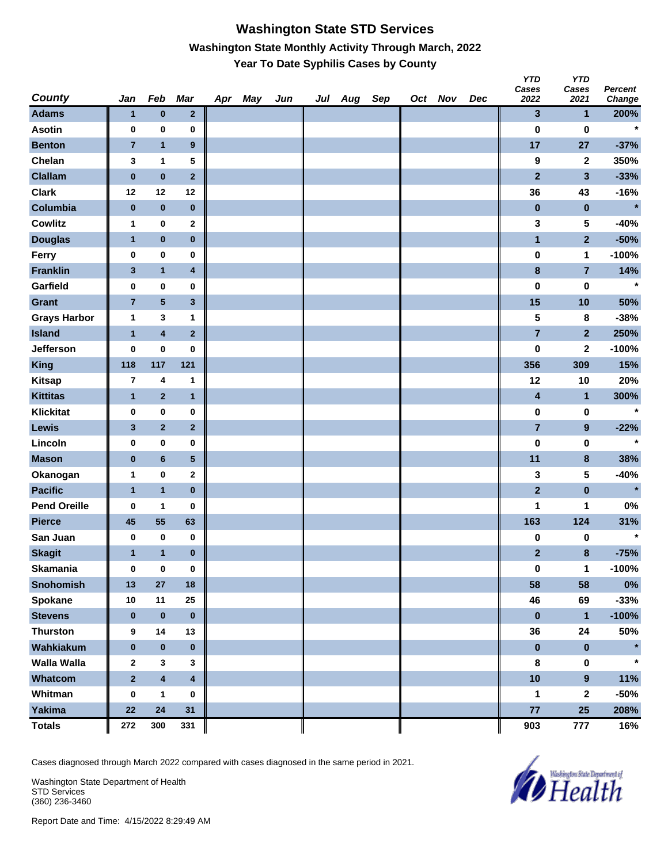#### **Washington State STD Services Washington State Monthly Activity Through March, 2022 Year To Date Syphilis Cases by County**

| <b>County</b>       | Jan            | Feb                     | Mar            | Apr | May | Jun | Jul Aug | Sep | Oct Nov | Dec | YID<br>Cases<br>2022    | YID<br>Cases<br>2021    | <b>Percent</b><br>Change |
|---------------------|----------------|-------------------------|----------------|-----|-----|-----|---------|-----|---------|-----|-------------------------|-------------------------|--------------------------|
| <b>Adams</b>        | 1              | $\bf{0}$                | $\mathbf{2}$   |     |     |     |         |     |         |     | $\mathbf{3}$            | $\mathbf 1$             | 200%                     |
| <b>Asotin</b>       | 0              | $\bf{0}$                | 0              |     |     |     |         |     |         |     | $\bf{0}$                | $\bf{0}$                | $\star$                  |
| <b>Benton</b>       | $\overline{7}$ | $\mathbf{1}$            | 9              |     |     |     |         |     |         |     | 17                      | 27                      | $-37%$                   |
| Chelan              | 3              | 1                       | 5              |     |     |     |         |     |         |     | 9                       | $\mathbf 2$             | 350%                     |
| <b>Clallam</b>      | $\pmb{0}$      | $\pmb{0}$               | $\mathbf{2}$   |     |     |     |         |     |         |     | $\overline{2}$          | $\overline{\mathbf{3}}$ | $-33%$                   |
| <b>Clark</b>        | 12             | 12                      | 12             |     |     |     |         |     |         |     | 36                      | 43                      | $-16%$                   |
| Columbia            | $\pmb{0}$      | $\bf{0}$                | $\pmb{0}$      |     |     |     |         |     |         |     | $\bf{0}$                | $\pmb{0}$               | $\star$                  |
| Cowlitz             | 1              | $\pmb{0}$               | 2              |     |     |     |         |     |         |     | 3                       | 5                       | $-40%$                   |
| <b>Douglas</b>      | $\mathbf{1}$   | $\pmb{0}$               | $\pmb{0}$      |     |     |     |         |     |         |     | $\mathbf{1}$            | $\overline{2}$          | $-50%$                   |
| Ferry               | 0              | $\pmb{0}$               | $\pmb{0}$      |     |     |     |         |     |         |     | $\pmb{0}$               | 1                       | $-100%$                  |
| <b>Franklin</b>     | 3              | $\mathbf{1}$            | 4              |     |     |     |         |     |         |     | $\bf8$                  | $\overline{7}$          | 14%                      |
| Garfield            | 0              | $\mathbf 0$             | 0              |     |     |     |         |     |         |     | $\bf{0}$                | $\bf{0}$                | $\star$                  |
| Grant               | $\overline{7}$ | $\overline{\mathbf{5}}$ | 3              |     |     |     |         |     |         |     | 15                      | 10                      | 50%                      |
| <b>Grays Harbor</b> | 1              | 3                       | 1              |     |     |     |         |     |         |     | 5                       | 8                       | $-38%$                   |
| <b>Island</b>       | $\mathbf{1}$   | $\pmb{4}$               | $\overline{2}$ |     |     |     |         |     |         |     | $\overline{7}$          | $\mathbf{2}$            | 250%                     |
| Jefferson           | 0              | $\pmb{0}$               | 0              |     |     |     |         |     |         |     | $\bf{0}$                | $\mathbf 2$             | $-100%$                  |
| King                | 118            | 117                     | 121            |     |     |     |         |     |         |     | 356                     | 309                     | 15%                      |
| <b>Kitsap</b>       | 7              | 4                       | 1              |     |     |     |         |     |         |     | 12                      | 10                      | 20%                      |
| <b>Kittitas</b>     | $\mathbf{1}$   | $\overline{2}$          | $\mathbf{1}$   |     |     |     |         |     |         |     | $\overline{\mathbf{4}}$ | $\mathbf{1}$            | 300%                     |
| <b>Klickitat</b>    | 0              | $\pmb{0}$               | $\pmb{0}$      |     |     |     |         |     |         |     | $\pmb{0}$               | $\pmb{0}$               | $\star$                  |
| <b>Lewis</b>        | 3              | $\overline{2}$          | $\mathbf{2}$   |     |     |     |         |     |         |     | $\overline{7}$          | $\boldsymbol{9}$        | $-22%$                   |
| Lincoln             | 0              | $\pmb{0}$               | 0              |     |     |     |         |     |         |     | $\bf{0}$                | $\bf{0}$                | $\star$                  |
| <b>Mason</b>        | $\pmb{0}$      | $6\phantom{a}$          | 5              |     |     |     |         |     |         |     | 11                      | $\pmb{8}$               | 38%                      |
| Okanogan            | 1              | $\pmb{0}$               | 2              |     |     |     |         |     |         |     | 3                       | 5                       | $-40%$                   |
| <b>Pacific</b>      | $\mathbf{1}$   | $\mathbf{1}$            | $\pmb{0}$      |     |     |     |         |     |         |     | $\mathbf{2}$            | $\pmb{0}$               | $\star$                  |
| <b>Pend Oreille</b> | 0              | 1                       | 0              |     |     |     |         |     |         |     | 1                       | 1                       | $0\%$                    |
| <b>Pierce</b>       | 45             | 55                      | 63             |     |     |     |         |     |         |     | 163                     | 124                     | 31%                      |
| San Juan            | 0              | $\bf{0}$                | 0              |     |     |     |         |     |         |     | $\pmb{0}$               | 0                       | $\star$                  |
| <b>Skagit</b>       | 1              | $\mathbf{1}$            | $\pmb{0}$      |     |     |     |         |     |         |     | $\mathbf{2}$            | $\pmb{8}$               | $-75%$                   |
| Skamania            | 0              | $\pmb{0}$               | $\pmb{0}$      |     |     |     |         |     |         |     | $\pmb{0}$               | $\mathbf{1}$            | $-100%$                  |
| <b>Snohomish</b>    | 13             | 27                      | 18             |     |     |     |         |     |         |     | 58                      | 58                      | $0\%$                    |
| Spokane             | 10             | 11                      | 25             |     |     |     |         |     |         |     | 46                      | 69                      | $-33%$                   |
| <b>Stevens</b>      | $\bf{0}$       | $\pmb{0}$               | $\pmb{0}$      |     |     |     |         |     |         |     | $\pmb{0}$               | $\mathbf{1}$            | $-100%$                  |
| <b>Thurston</b>     | 9              | 14                      | 13             |     |     |     |         |     |         |     | 36                      | 24                      | 50%                      |
| Wahkiakum           | $\pmb{0}$      | $\pmb{0}$               | $\pmb{0}$      |     |     |     |         |     |         |     | $\pmb{0}$               | $\pmb{0}$               | $\star$                  |
| <b>Walla Walla</b>  | $\mathbf{2}$   | $\mathbf{3}$            | 3              |     |     |     |         |     |         |     | 8                       | $\pmb{0}$               | $\star$                  |
| Whatcom             | $\mathbf 2$    | $\overline{\mathbf{4}}$ | $\pmb{4}$      |     |     |     |         |     |         |     | 10                      | $\boldsymbol{9}$        | 11%                      |
| Whitman             | $\pmb{0}$      | $\mathbf{1}$            | 0              |     |     |     |         |     |         |     | 1                       | $\mathbf 2$             | $-50%$                   |
| Yakima              | 22             | 24                      | 31             |     |     |     |         |     |         |     | 77                      | 25                      | 208%                     |
| <b>Totals</b>       | 272            | 300                     | 331            |     |     |     |         |     |         |     | 903                     | 777                     | 16%                      |

Cases diagnosed through March 2022 compared with cases diagnosed in the same period in 2021.

Washington State Department of Health STD Services (360) 236-3460



*Y* 

*YTD*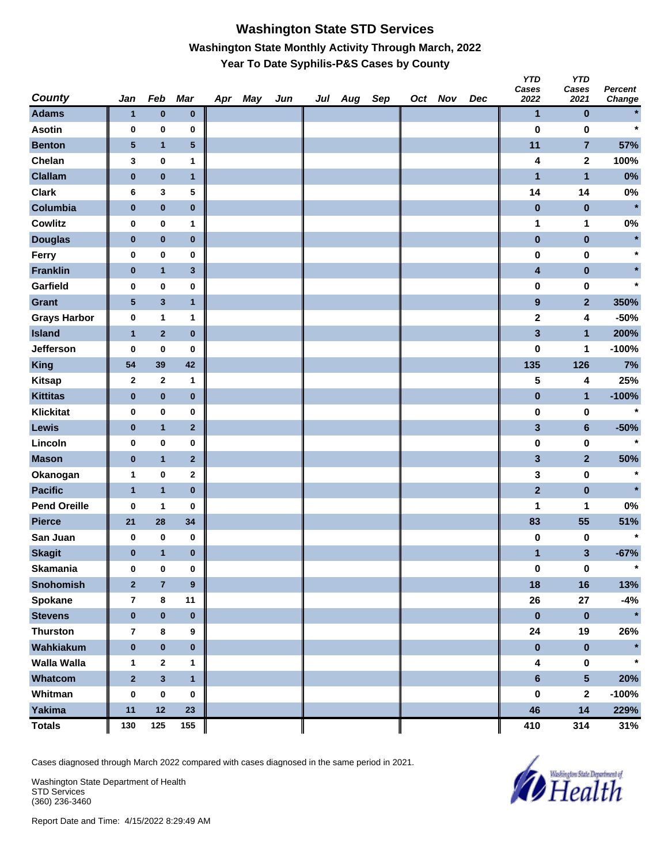# **Washington State STD Services Washington State Monthly Activity Through March, 2022 Year To Date Syphilis-P&S Cases by County**

| <b>County</b>       | Jan                     | Feb                     | <b>Mar</b>     | Apr May | Jun | Jul Aug Sep |  | Oct Nov | Dec | <b>YTD</b><br>Cases<br>2022 | <b>YTD</b><br>Cases<br>2021 | <b>Percent</b><br>Change |
|---------------------|-------------------------|-------------------------|----------------|---------|-----|-------------|--|---------|-----|-----------------------------|-----------------------------|--------------------------|
| <b>Adams</b>        | 1                       | $\bf{0}$                | $\pmb{0}$      |         |     |             |  |         |     | $\mathbf{1}$                | $\bf{0}$                    | $\star$                  |
| <b>Asotin</b>       | 0                       | $\pmb{0}$               | 0              |         |     |             |  |         |     | $\bf{0}$                    | 0                           | $\star$                  |
| <b>Benton</b>       | $\sqrt{5}$              | $\mathbf{1}$            | ${\bf 5}$      |         |     |             |  |         |     | 11                          | 7                           | 57%                      |
| Chelan              | 3                       | $\pmb{0}$               | 1              |         |     |             |  |         |     | 4                           | $\mathbf{2}$                | 100%                     |
| <b>Clallam</b>      | $\pmb{0}$               | $\pmb{0}$               | $\mathbf{1}$   |         |     |             |  |         |     | $\blacksquare$              | $\blacksquare$              | $0\%$                    |
| <b>Clark</b>        | 6                       | 3                       | 5              |         |     |             |  |         |     | 14                          | 14                          | $0\%$                    |
| Columbia            | $\pmb{0}$               | $\pmb{0}$               | $\pmb{0}$      |         |     |             |  |         |     | $\pmb{0}$                   | $\bf{0}$                    | $\star$                  |
| <b>Cowlitz</b>      | 0                       | $\pmb{0}$               | 1              |         |     |             |  |         |     | 1                           | 1                           | $0\%$                    |
| <b>Douglas</b>      | $\bf{0}$                | $\mathbf 0$             | $\pmb{0}$      |         |     |             |  |         |     | $\pmb{0}$                   | $\pmb{0}$                   | $\star$                  |
| Ferry               | 0                       | $\pmb{0}$               | 0              |         |     |             |  |         |     | 0                           | 0                           | $\star$                  |
| <b>Franklin</b>     | $\pmb{0}$               | $\overline{\mathbf{1}}$ | $\mathbf{3}$   |         |     |             |  |         |     | 4                           | $\pmb{0}$                   |                          |
| Garfield            | 0                       | $\pmb{0}$               | 0              |         |     |             |  |         |     | 0                           | 0                           | $\star$                  |
| Grant               | $\sqrt{5}$              | $\mathbf{3}$            | $\mathbf{1}$   |         |     |             |  |         |     | $\boldsymbol{9}$            | $\mathbf{2}$                | 350%                     |
| <b>Grays Harbor</b> | 0                       | $\mathbf{1}$            | 1              |         |     |             |  |         |     | $\overline{\mathbf{2}}$     | 4                           | $-50%$                   |
| <b>Island</b>       | $\mathbf{1}$            | $\overline{2}$          | $\pmb{0}$      |         |     |             |  |         |     | 3                           | $\mathbf{1}$                | 200%                     |
| <b>Jefferson</b>    | 0                       | $\bf{0}$                | 0              |         |     |             |  |         |     | 0                           | 1                           | $-100%$                  |
| <b>King</b>         | 54                      | 39                      | 42             |         |     |             |  |         |     | 135                         | 126                         | 7%                       |
| <b>Kitsap</b>       | $\mathbf{2}$            | $\mathbf{2}$            | 1              |         |     |             |  |         |     | 5                           | 4                           | 25%                      |
| <b>Kittitas</b>     | $\bf{0}$                | $\pmb{0}$               | $\pmb{0}$      |         |     |             |  |         |     | $\pmb{0}$                   | $\mathbf{1}$                | $-100%$                  |
| <b>Klickitat</b>    | 0                       | $\bf{0}$                | 0              |         |     |             |  |         |     | 0                           | 0                           | $\star$                  |
| Lewis               | $\bf{0}$                | $\mathbf{1}$            | $\mathbf{2}$   |         |     |             |  |         |     | 3                           | $6\phantom{a}$              | $-50%$                   |
| Lincoln             | 0                       | $\pmb{0}$               | 0              |         |     |             |  |         |     | $\pmb{0}$                   | 0                           | $\star$                  |
| <b>Mason</b>        | $\pmb{0}$               | $\mathbf{1}$            | $\overline{2}$ |         |     |             |  |         |     | 3                           | $\overline{\mathbf{2}}$     | 50%                      |
| Okanogan            | 1                       | $\pmb{0}$               | $\mathbf 2$    |         |     |             |  |         |     | 3                           | 0                           | $\star$                  |
| <b>Pacific</b>      | $\mathbf{1}$            | $\mathbf{1}$            | $\pmb{0}$      |         |     |             |  |         |     | $\overline{2}$              | $\pmb{0}$                   | $\star$                  |
| <b>Pend Oreille</b> | 0                       | 1                       | 0              |         |     |             |  |         |     | 1                           | 1                           | $0\%$                    |
| <b>Pierce</b>       | 21                      | 28                      | 34             |         |     |             |  |         |     | 83                          | 55                          | 51%                      |
| San Juan            | 0                       | $\pmb{0}$               | 0              |         |     |             |  |         |     | 0                           | 0                           | $\star$                  |
| <b>Skagit</b>       | $\bf{0}$                | $\mathbf{1}$            | $\bf{0}$       |         |     |             |  |         |     | 1                           | 3                           | $-67%$                   |
| <b>Skamania</b>     | 0                       | $\pmb{0}$               | $\pmb{0}$      |         |     |             |  |         |     | $\pmb{0}$                   | $\pmb{0}$                   | $\star$                  |
| Snohomish           | $\overline{2}$          | $\overline{7}$          | $\pmb{9}$      |         |     |             |  |         |     | 18                          | 16                          | 13%                      |
| <b>Spokane</b>      | $\overline{\mathbf{r}}$ | 8                       | 11             |         |     |             |  |         |     | 26                          | 27                          | $-4%$                    |
| <b>Stevens</b>      | $\pmb{0}$               | $\pmb{0}$               | $\pmb{0}$      |         |     |             |  |         |     | $\pmb{0}$                   | $\boldsymbol{0}$            | $\star$                  |
| <b>Thurston</b>     | $\overline{\mathbf{r}}$ | $\bf8$                  | 9              |         |     |             |  |         |     | 24                          | 19                          | 26%                      |
| Wahkiakum           | $\pmb{0}$               | $\pmb{0}$               | $\mathbf 0$    |         |     |             |  |         |     | $\pmb{0}$                   | $\pmb{0}$                   | $\star$                  |
| <b>Walla Walla</b>  | 1                       | $\boldsymbol{2}$        | 1              |         |     |             |  |         |     | 4                           | 0                           | $\star$                  |
| Whatcom             | $\overline{2}$          | $\overline{\mathbf{3}}$ | $\mathbf{1}$   |         |     |             |  |         |     | $6\phantom{a}$              | $5\phantom{.}$              | 20%                      |
| Whitman             | 0                       | $\pmb{0}$               | 0              |         |     |             |  |         |     | 0                           | 2                           | $-100%$                  |
| Yakima              | 11                      | 12                      | 23             |         |     |             |  |         |     | 46                          | 14                          | 229%                     |
| <b>Totals</b>       | 130                     | 125                     | 155            |         |     |             |  |         |     | 410                         | 314                         | 31%                      |

Cases diagnosed through March 2022 compared with cases diagnosed in the same period in 2021.

Washington State Department of Health STD Services (360) 236-3460

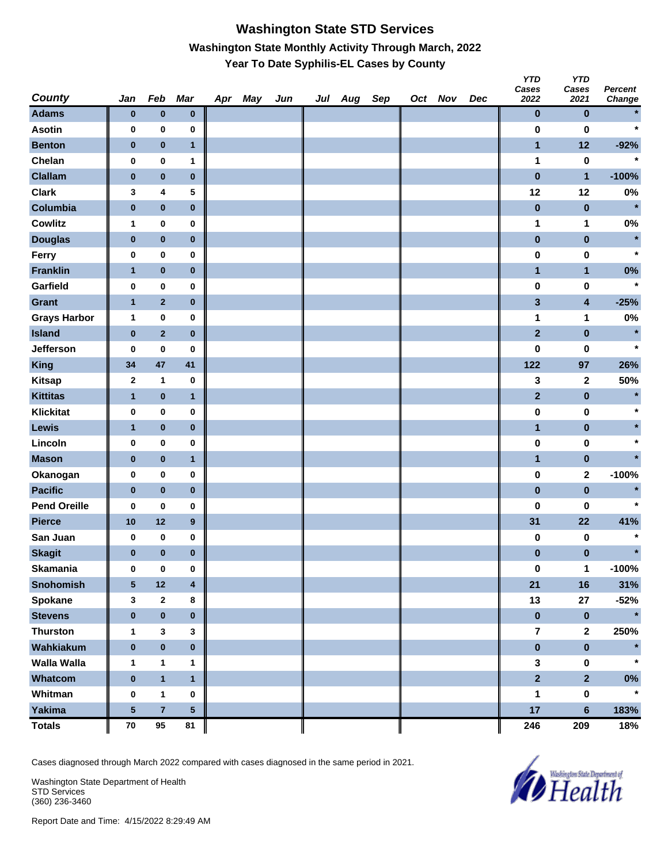# **Washington State STD Services Washington State Monthly Activity Through March, 2022 Year To Date Syphilis-EL Cases by County**

| <b>County</b>       | Jan             | Feb                     | <b>Mar</b>              | Apr May | Jun | Jul Aug Sep |  | Oct Nov | Dec | <b>YTD</b><br>Cases<br>2022 | <b>YTD</b><br>Cases<br>2021 | <b>Percent</b><br>Change |
|---------------------|-----------------|-------------------------|-------------------------|---------|-----|-------------|--|---------|-----|-----------------------------|-----------------------------|--------------------------|
| <b>Adams</b>        | $\bf{0}$        | $\bf{0}$                | $\pmb{0}$               |         |     |             |  |         |     | 0                           | $\bf{0}$                    | $\star$                  |
| <b>Asotin</b>       | $\pmb{0}$       | 0                       | 0                       |         |     |             |  |         |     | 0                           | $\bf{0}$                    | $\star$                  |
| <b>Benton</b>       | $\bf{0}$        | $\pmb{0}$               | $\mathbf{1}$            |         |     |             |  |         |     | $\mathbf{1}$                | 12                          | $-92%$                   |
| Chelan              | $\pmb{0}$       | $\pmb{0}$               | 1                       |         |     |             |  |         |     | 1                           | $\bf{0}$                    | $\star$                  |
| <b>Clallam</b>      | $\bf{0}$        | $\pmb{0}$               | $\pmb{0}$               |         |     |             |  |         |     | $\bf{0}$                    | $\mathbf{1}$                | $-100%$                  |
| <b>Clark</b>        | 3               | 4                       | 5                       |         |     |             |  |         |     | 12                          | 12                          | $0\%$                    |
| Columbia            | $\pmb{0}$       | $\pmb{0}$               | $\pmb{0}$               |         |     |             |  |         |     | $\bf{0}$                    | $\bf{0}$                    | $\star$                  |
| <b>Cowlitz</b>      | 1               | $\mathbf 0$             | 0                       |         |     |             |  |         |     | 1                           | 1                           | $0\%$                    |
| <b>Douglas</b>      | $\pmb{0}$       | $\pmb{0}$               | $\pmb{0}$               |         |     |             |  |         |     | $\pmb{0}$                   | $\pmb{0}$                   | $\star$                  |
| Ferry               | $\mathbf 0$     | $\pmb{0}$               | 0                       |         |     |             |  |         |     | $\pmb{0}$                   | $\pmb{0}$                   | $\star$                  |
| <b>Franklin</b>     | $\mathbf{1}$    | $\pmb{0}$               | $\pmb{0}$               |         |     |             |  |         |     | $\mathbf{1}$                | $\mathbf{1}$                | $0\%$                    |
| Garfield            | $\pmb{0}$       | $\pmb{0}$               | 0                       |         |     |             |  |         |     | 0                           | $\bf{0}$                    | $\star$                  |
| <b>Grant</b>        | $\mathbf{1}$    | $\mathbf 2$             | $\pmb{0}$               |         |     |             |  |         |     | 3                           | 4                           | $-25%$                   |
| <b>Grays Harbor</b> | 1               | $\pmb{0}$               | 0                       |         |     |             |  |         |     | 1                           | 1                           | 0%                       |
| <b>Island</b>       | $\pmb{0}$       | $\mathbf 2$             | $\pmb{0}$               |         |     |             |  |         |     | $\overline{2}$              | $\pmb{0}$                   | $\star$                  |
| <b>Jefferson</b>    | 0               | 0                       | 0                       |         |     |             |  |         |     | $\bf{0}$                    | 0                           | $\star$                  |
| <b>King</b>         | 34              | 47                      | 41                      |         |     |             |  |         |     | $122$                       | 97                          | 26%                      |
| <b>Kitsap</b>       | $\mathbf{2}$    | $\mathbf{1}$            | $\pmb{0}$               |         |     |             |  |         |     | 3                           | 2                           | 50%                      |
| <b>Kittitas</b>     | $\mathbf{1}$    | $\pmb{0}$               | $\mathbf{1}$            |         |     |             |  |         |     | $\mathbf{2}$                | $\pmb{0}$                   | $\star$                  |
| <b>Klickitat</b>    | $\pmb{0}$       | $\pmb{0}$               | 0                       |         |     |             |  |         |     | $\pmb{0}$                   | $\pmb{0}$                   | $\ast$                   |
| Lewis               | $\mathbf{1}$    | $\pmb{0}$               | $\pmb{0}$               |         |     |             |  |         |     | $\mathbf{1}$                | $\pmb{0}$                   |                          |
| Lincoln             | $\pmb{0}$       | $\pmb{0}$               | 0                       |         |     |             |  |         |     | $\pmb{0}$                   | $\bf{0}$                    | $\star$                  |
| <b>Mason</b>        | $\bf{0}$        | $\pmb{0}$               | $\mathbf{1}$            |         |     |             |  |         |     | $\mathbf{1}$                | $\pmb{0}$                   | $\star$                  |
| Okanogan            | $\pmb{0}$       | $\pmb{0}$               | $\bf{0}$                |         |     |             |  |         |     | $\bf{0}$                    | 2                           | $-100%$                  |
| <b>Pacific</b>      | $\bf{0}$        | $\pmb{0}$               | $\pmb{0}$               |         |     |             |  |         |     | $\pmb{0}$                   | $\pmb{0}$                   | $\star$                  |
| <b>Pend Oreille</b> | 0               | 0                       | 0                       |         |     |             |  |         |     | $\bf{0}$                    | 0                           | $\star$                  |
| <b>Pierce</b>       | 10              | $12$                    | $\boldsymbol{9}$        |         |     |             |  |         |     | 31                          | 22                          | 41%                      |
| San Juan            | 0               | $\bf{0}$                | 0                       |         |     |             |  |         |     | 0                           | 0                           | $\star$                  |
| <b>Skagit</b>       | $\bf{0}$        | $\bf{0}$                | $\bf{0}$                |         |     |             |  |         |     | 0                           | 0                           | $\star$                  |
| <b>Skamania</b>     | $\pmb{0}$       | $\pmb{0}$               | 0                       |         |     |             |  |         |     | $\pmb{0}$                   | $\mathbf 1$                 | $-100%$                  |
| <b>Snohomish</b>    | $5\phantom{.0}$ | 12                      | $\overline{\mathbf{4}}$ |         |     |             |  |         |     | 21                          | 16                          | 31%                      |
| <b>Spokane</b>      | 3               | $\mathbf 2$             | 8                       |         |     |             |  |         |     | 13                          | 27                          | $-52%$                   |
| <b>Stevens</b>      | $\pmb{0}$       | $\pmb{0}$               | $\pmb{0}$               |         |     |             |  |         |     | $\boldsymbol{0}$            | $\bf{0}$                    | $\star$                  |
| <b>Thurston</b>     | $\mathbf{1}$    | 3                       | 3                       |         |     |             |  |         |     | $\bf 7$                     | $\mathbf{2}$                | 250%                     |
| Wahkiakum           | $\pmb{0}$       | $\pmb{0}$               | $\pmb{0}$               |         |     |             |  |         |     | $\pmb{0}$                   | $\pmb{0}$                   | $\star$                  |
| Walla Walla         | $\mathbf{1}$    | 1                       | 1                       |         |     |             |  |         |     | 3                           | $\pmb{0}$                   | $\star$                  |
| Whatcom             | $\pmb{0}$       | $\mathbf{1}$            | $\mathbf{1}$            |         |     |             |  |         |     | $\overline{2}$              | $\overline{2}$              | $0\%$                    |
| Whitman             | $\pmb{0}$       | $\mathbf{1}$            | 0                       |         |     |             |  |         |     | 1                           | $\pmb{0}$                   | $\star$                  |
| Yakima              | ${\bf 5}$       | $\overline{\mathbf{7}}$ | $\sqrt{5}$              |         |     |             |  |         |     | 17                          | 6                           | 183%                     |
| <b>Totals</b>       | ${\bf 70}$      | $95\,$                  | 81                      |         |     |             |  |         |     | 246                         | 209                         | 18%                      |

Cases diagnosed through March 2022 compared with cases diagnosed in the same period in 2021.

Washington State Department of Health STD Services (360) 236-3460

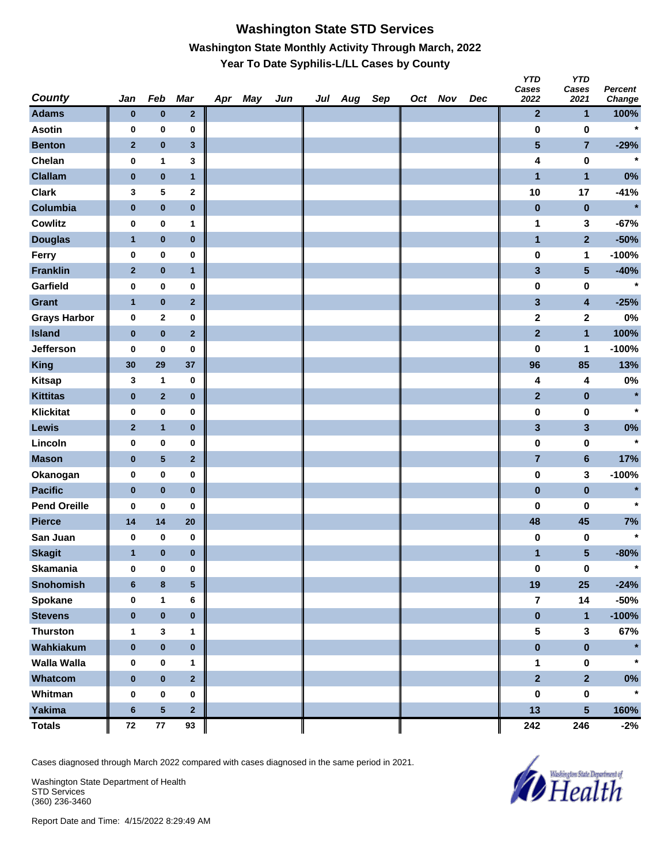## **Washington State STD Services Washington State Monthly Activity Through March, 2022 Year To Date Syphilis-L/LL Cases by County**

| <b>County</b>       | Jan            | Feb             | <b>Mar</b>              | Apr May | Jun | Jul Aug Sep |  | Oct Nov | Dec | <b>YTD</b><br>Cases<br>2022 | <b>YTD</b><br>Cases<br>2021 | Percent<br>Change |
|---------------------|----------------|-----------------|-------------------------|---------|-----|-------------|--|---------|-----|-----------------------------|-----------------------------|-------------------|
| <b>Adams</b>        | $\bf{0}$       | $\bf{0}$        | $\mathbf 2$             |         |     |             |  |         |     | $\mathbf{2}$                | $\mathbf{1}$                | 100%              |
| <b>Asotin</b>       | 0              | $\pmb{0}$       | 0                       |         |     |             |  |         |     | 0                           | $\pmb{0}$                   | $\star$           |
| <b>Benton</b>       | $\mathbf{2}$   | $\pmb{0}$       | $\mathbf{3}$            |         |     |             |  |         |     | $\overline{\mathbf{5}}$     | $\overline{7}$              | $-29%$            |
| Chelan              | 0              | 1               | 3                       |         |     |             |  |         |     | 4                           | $\pmb{0}$                   | $\star$           |
| <b>Clallam</b>      | $\pmb{0}$      | $\pmb{0}$       | $\mathbf{1}$            |         |     |             |  |         |     | $\mathbf{1}$                | $\mathbf{1}$                | $0\%$             |
| <b>Clark</b>        | 3              | 5               | $\mathbf 2$             |         |     |             |  |         |     | 10                          | 17                          | $-41%$            |
| Columbia            | $\pmb{0}$      | $\pmb{0}$       | $\pmb{0}$               |         |     |             |  |         |     | $\pmb{0}$                   | $\pmb{0}$                   | $\star$           |
| <b>Cowlitz</b>      | 0              | $\bf{0}$        | 1                       |         |     |             |  |         |     | 1                           | 3                           | $-67%$            |
| <b>Douglas</b>      | 1              | $\bf{0}$        | $\pmb{0}$               |         |     |             |  |         |     | $\mathbf{1}$                | $\overline{2}$              | $-50%$            |
| Ferry               | 0              | $\pmb{0}$       | $\pmb{0}$               |         |     |             |  |         |     | 0                           | $\mathbf{1}$                | $-100%$           |
| <b>Franklin</b>     | $\mathbf{2}$   | $\pmb{0}$       | $\mathbf{1}$            |         |     |             |  |         |     | $\mathbf{3}$                | $5\phantom{.0}$             | $-40%$            |
| Garfield            | 0              | $\pmb{0}$       | 0                       |         |     |             |  |         |     | $\pmb{0}$                   | 0                           | $\star$           |
| <b>Grant</b>        | $\mathbf{1}$   | $\pmb{0}$       | $\mathbf{2}$            |         |     |             |  |         |     | $\mathbf{3}$                | $\overline{\mathbf{4}}$     | $-25%$            |
| <b>Grays Harbor</b> | $\bf{0}$       | $\bf{2}$        | $\pmb{0}$               |         |     |             |  |         |     | $\mathbf{2}$                | $\mathbf{2}$                | 0%                |
| <b>Island</b>       | $\pmb{0}$      | $\pmb{0}$       | $\mathbf 2$             |         |     |             |  |         |     | $\overline{2}$              | $\mathbf{1}$                | 100%              |
| Jefferson           | 0              | 0               | 0                       |         |     |             |  |         |     | 0                           | 1                           | $-100%$           |
| <b>King</b>         | 30             | 29              | 37                      |         |     |             |  |         |     | 96                          | 85                          | 13%               |
| <b>Kitsap</b>       | 3              | $\mathbf{1}$    | $\pmb{0}$               |         |     |             |  |         |     | 4                           | 4                           | 0%                |
| <b>Kittitas</b>     | $\pmb{0}$      | $\mathbf 2$     | $\pmb{0}$               |         |     |             |  |         |     | $\mathbf{2}$                | $\pmb{0}$                   | $\star$           |
| <b>Klickitat</b>    | 0              | $\pmb{0}$       | $\pmb{0}$               |         |     |             |  |         |     | 0                           | $\pmb{0}$                   | $\star$           |
| Lewis               | $\mathbf{2}$   | $\mathbf{1}$    | $\pmb{0}$               |         |     |             |  |         |     | $\mathbf{3}$                | $\mathbf{3}$                | $0\%$             |
| Lincoln             | 0              | $\pmb{0}$       | 0                       |         |     |             |  |         |     | $\pmb{0}$                   | 0                           | $\star$           |
| <b>Mason</b>        | $\bf{0}$       | 5               | $\mathbf 2$             |         |     |             |  |         |     | $\overline{7}$              | $6\phantom{a}$              | 17%               |
| Okanogan            | 0              | $\pmb{0}$       | $\pmb{0}$               |         |     |             |  |         |     | $\pmb{0}$                   | 3                           | $-100%$           |
| <b>Pacific</b>      | $\pmb{0}$      | $\pmb{0}$       | $\pmb{0}$               |         |     |             |  |         |     | $\pmb{0}$                   | $\pmb{0}$                   | $\star$           |
| <b>Pend Oreille</b> | 0              | $\pmb{0}$       | 0                       |         |     |             |  |         |     | 0                           | 0                           | $\star$           |
| <b>Pierce</b>       | 14             | 14              | 20                      |         |     |             |  |         |     | 48                          | 45                          | 7%                |
| San Juan            | 0              | $\pmb{0}$       | 0                       |         |     |             |  |         |     | 0                           | 0                           | $\star$           |
| <b>Skagit</b>       | $\mathbf{1}$   | $\bf{0}$        | $\bf{0}$                |         |     |             |  |         |     | $\mathbf{1}$                | $5\phantom{.0}$             | $-80%$            |
| <b>Skamania</b>     | $\bf{0}$       | $\pmb{0}$       | $\pmb{0}$               |         |     |             |  |         |     | $\pmb{0}$                   | $\pmb{0}$                   | $\star$           |
| <b>Snohomish</b>    | $6\phantom{1}$ | $\bf8$          | $\overline{\mathbf{5}}$ |         |     |             |  |         |     | 19                          | 25                          | $-24%$            |
| <b>Spokane</b>      | 0              | $\mathbf{1}$    | 6                       |         |     |             |  |         |     | $\overline{7}$              | 14                          | $-50%$            |
| <b>Stevens</b>      | $\pmb{0}$      | $\pmb{0}$       | $\pmb{0}$               |         |     |             |  |         |     | $\pmb{0}$                   | $\mathbf{1}$                | $-100%$           |
| <b>Thurston</b>     | $\mathbf{1}$   | $\mathbf 3$     | 1                       |         |     |             |  |         |     | 5                           | $\mathbf{3}$                | 67%               |
| Wahkiakum           | $\pmb{0}$      | $\pmb{0}$       | $\pmb{0}$               |         |     |             |  |         |     | $\pmb{0}$                   | $\pmb{0}$                   |                   |
| Walla Walla         | 0              | 0               | 1                       |         |     |             |  |         |     | $\mathbf 1$                 | $\pmb{0}$                   |                   |
| Whatcom             | $\pmb{0}$      | $\pmb{0}$       | $\overline{\mathbf{2}}$ |         |     |             |  |         |     | $\overline{2}$              | $\overline{2}$              | $0\%$             |
| Whitman             | $\bf{0}$       | $\pmb{0}$       | 0                       |         |     |             |  |         |     | $\pmb{0}$                   | $\pmb{0}$                   | $\star$           |
| <b>Yakima</b>       | $\bf 6$        | $5\phantom{.0}$ | $\overline{\mathbf{2}}$ |         |     |             |  |         |     | 13                          | $5\phantom{.0}$             | 160%              |
| <b>Totals</b>       | ${\bf 72}$     | ${\bf 77}$      | 93                      |         |     |             |  |         |     | 242                         | 246                         | $-2%$             |

Cases diagnosed through March 2022 compared with cases diagnosed in the same period in 2021.

Washington State Department of Health STD Services (360) 236-3460